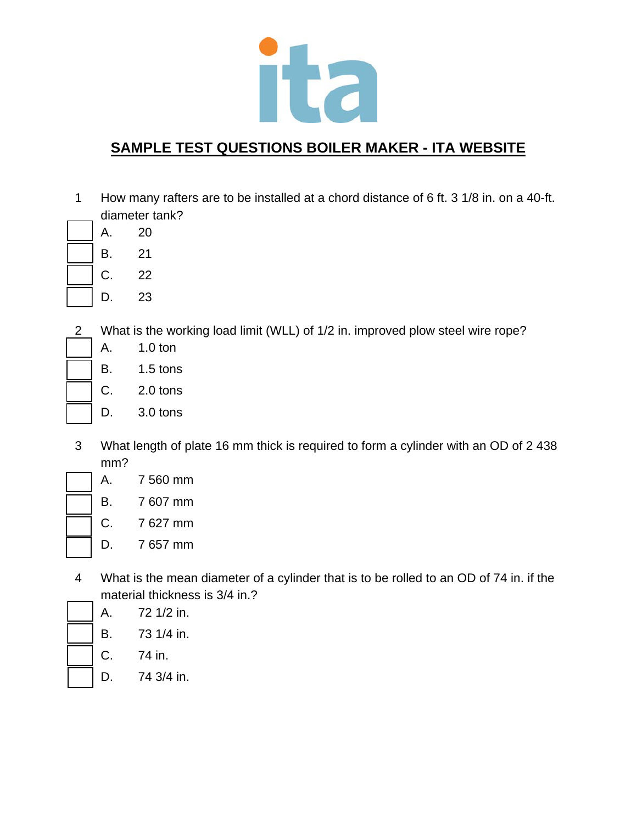

- 1 How many rafters are to be installed at a chord distance of 6 ft. 3 1/8 in. on a 40-ft. diameter tank?
	- A. 20
	- B. 21
		- C. 22
		- D. 23
- 2 What is the working load limit (WLL) of 1/2 in. improved plow steel wire rope?
	- A. 1.0 ton
	- B. 1.5 tons
	- C. 2.0 tons
	- D. 3.0 tons
- 3 What length of plate 16 mm thick is required to form a cylinder with an OD of 2 438 mm?
	- A. 7 560 mm
	- B. 7 607 mm
		- C. 7 627 mm
		- D. 7 657 mm
- 4 What is the mean diameter of a cylinder that is to be rolled to an OD of 74 in. if the material thickness is 3/4 in.?
	- A. 72 1/2 in.
	- B. 73 1/4 in.
	- C. 74 in.
	- D. 74 3/4 in.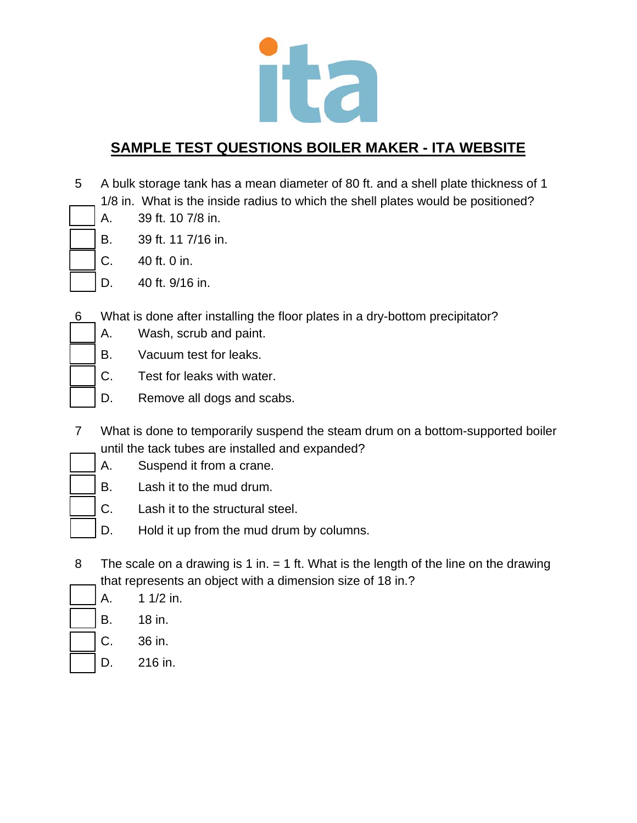

- 5 A bulk storage tank has a mean diameter of 80 ft. and a shell plate thickness of 1 1/8 in. What is the inside radius to which the shell plates would be positioned?
- A. 39 ft. 10 7/8 in.
	- B. 39 ft. 11 7/16 in.
	- C. 40 ft. 0 in.
	- D. 40 ft. 9/16 in.
- 6 What is done after installing the floor plates in a dry-bottom precipitator?
	- A. Wash, scrub and paint.
	- B. Vacuum test for leaks.
	- C. Test for leaks with water.
	- D. Remove all dogs and scabs.
- 7 What is done to temporarily suspend the steam drum on a bottom-supported boiler until the tack tubes are installed and expanded?
	- A. Suspend it from a crane.
	- B. Lash it to the mud drum.
	- C. Lash it to the structural steel.
	- D. Hold it up from the mud drum by columns.
- 8 The scale on a drawing is 1 in. = 1 ft. What is the length of the line on the drawing that represents an object with a dimension size of 18 in.?
	- A. 1 1/2 in.
	- B. 18 in.
	- C. 36 in.
	- D. 216 in.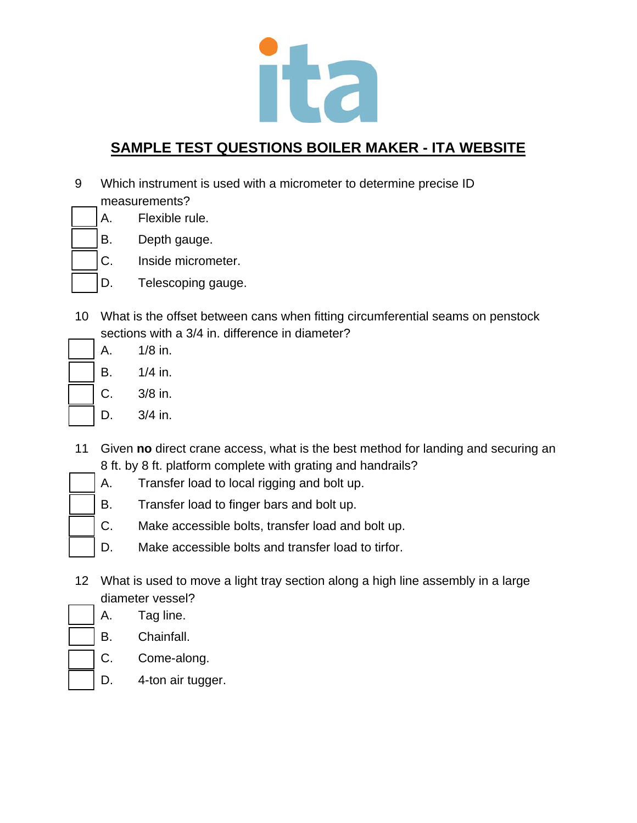

- 9 Which instrument is used with a micrometer to determine precise ID measurements?
- A. Flexible rule.
	- B. Depth gauge.
	- C. Inside micrometer.
	- D. Telescoping gauge.
- 10 What is the offset between cans when fitting circumferential seams on penstock sections with a 3/4 in. difference in diameter?
	- A. 1/8 in. B. 1/4 in.
	- C. 3/8 in.
	- D. 3/4 in.
- 11 Given **no** direct crane access, what is the best method for landing and securing an 8 ft. by 8 ft. platform complete with grating and handrails?
	- A. Transfer load to local rigging and bolt up.
	- B. Transfer load to finger bars and bolt up.
	- C. Make accessible bolts, transfer load and bolt up.
	- D. Make accessible bolts and transfer load to tirfor.
- 12 What is used to move a light tray section along a high line assembly in a large diameter vessel?
	- A. Tag line.
	- B. Chainfall.
	- C. Come-along.
		- D. 4-ton air tugger.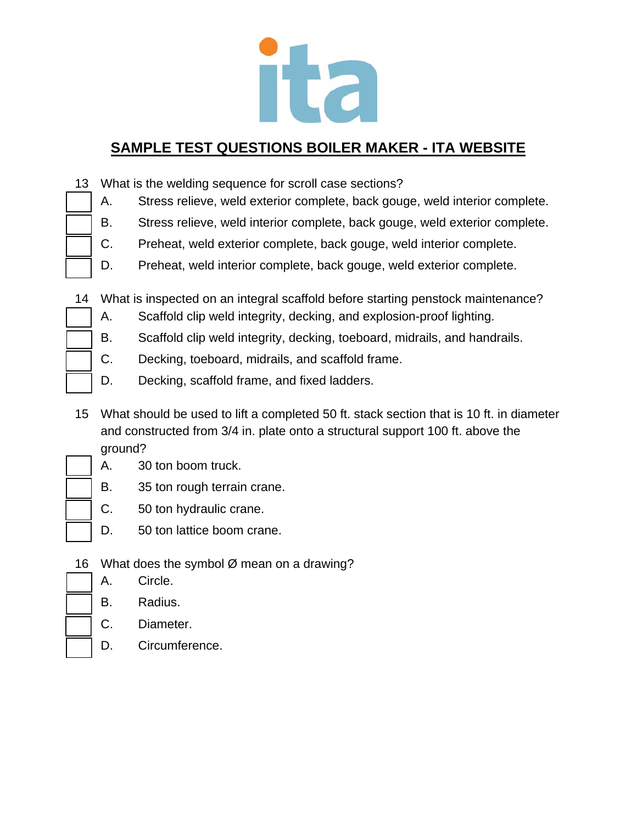

- 13 What is the welding sequence for scroll case sections?
	- A. Stress relieve, weld exterior complete, back gouge, weld interior complete.
	- B. Stress relieve, weld interior complete, back gouge, weld exterior complete.
	- C. Preheat, weld exterior complete, back gouge, weld interior complete.
	- D. Preheat, weld interior complete, back gouge, weld exterior complete.

14 What is inspected on an integral scaffold before starting penstock maintenance?

- A. Scaffold clip weld integrity, decking, and explosion-proof lighting.
- B. Scaffold clip weld integrity, decking, toeboard, midrails, and handrails.
- C. Decking, toeboard, midrails, and scaffold frame.
- D. Decking, scaffold frame, and fixed ladders.
- 15 What should be used to lift a completed 50 ft. stack section that is 10 ft. in diameter and constructed from 3/4 in. plate onto a structural support 100 ft. above the ground?
- 
- A. 30 ton boom truck.
	- B. 35 ton rough terrain crane.
	- C. 50 ton hydraulic crane.
	- D. 50 ton lattice boom crane.
	- 16 What does the symbol  $\varnothing$  mean on a drawing?
		- A. Circle.
			- B. Radius.
			- C. Diameter.
			- D. Circumference.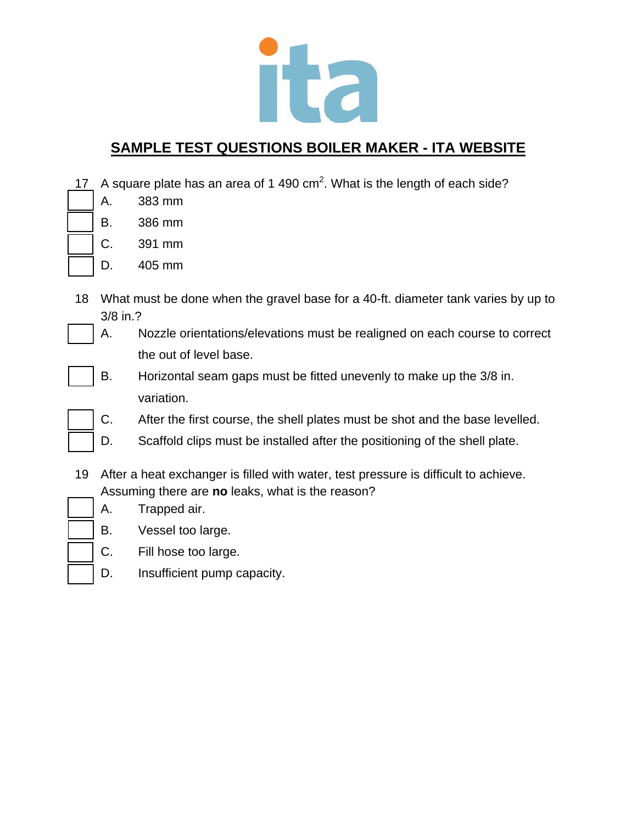

17 A square plate has an area of 1 490  $\text{cm}^2$ . What is the length of each side?

- A. 383 mm
- B. 386 mm
- C. 391 mm
- D. 405 mm
- 18 What must be done when the gravel base for a 40-ft. diameter tank varies by up to 3/8 in.?
	- A. Nozzle orientations/elevations must be realigned on each course to correct the out of level base.
	- B. Horizontal seam gaps must be fitted unevenly to make up the 3/8 in. variation.
	- C. After the first course, the shell plates must be shot and the base levelled.
	- D. Scaffold clips must be installed after the positioning of the shell plate.
- 19 After a heat exchanger is filled with water, test pressure is difficult to achieve. Assuming there are **no** leaks, what is the reason?
	- A. Trapped air.
	- B. Vessel too large.
	- C. Fill hose too large.
	- D. Insufficient pump capacity.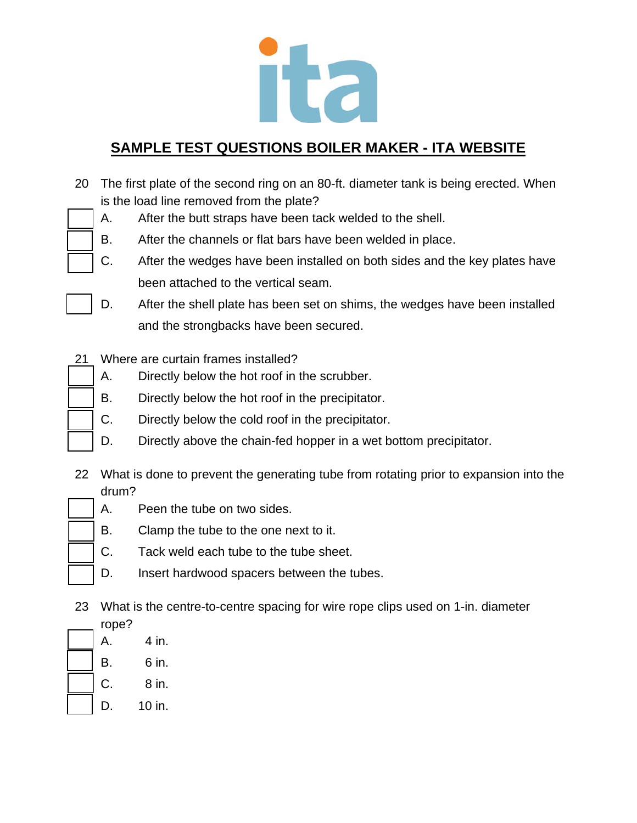

- 20 The first plate of the second ring on an 80-ft. diameter tank is being erected. When is the load line removed from the plate?
	- A. After the butt straps have been tack welded to the shell.
	- B. After the channels or flat bars have been welded in place.
	- C. After the wedges have been installed on both sides and the key plates have been attached to the vertical seam.
	- D. After the shell plate has been set on shims, the wedges have been installed and the strongbacks have been secured.
- 21 Where are curtain frames installed?
	- A. Directly below the hot roof in the scrubber.
	- B. Directly below the hot roof in the precipitator.
	- C. Directly below the cold roof in the precipitator.
	- D. Directly above the chain-fed hopper in a wet bottom precipitator.
- 22 What is done to prevent the generating tube from rotating prior to expansion into the drum?
	- A. Peen the tube on two sides.
	- B. Clamp the tube to the one next to it.
	- C. Tack weld each tube to the tube sheet.
	- D. Insert hardwood spacers between the tubes.
- 23 What is the centre-to-centre spacing for wire rope clips used on 1-in. diameter
- rope? A. 4 in. B. 6 in. C. 8 in.
	- D. 10 in.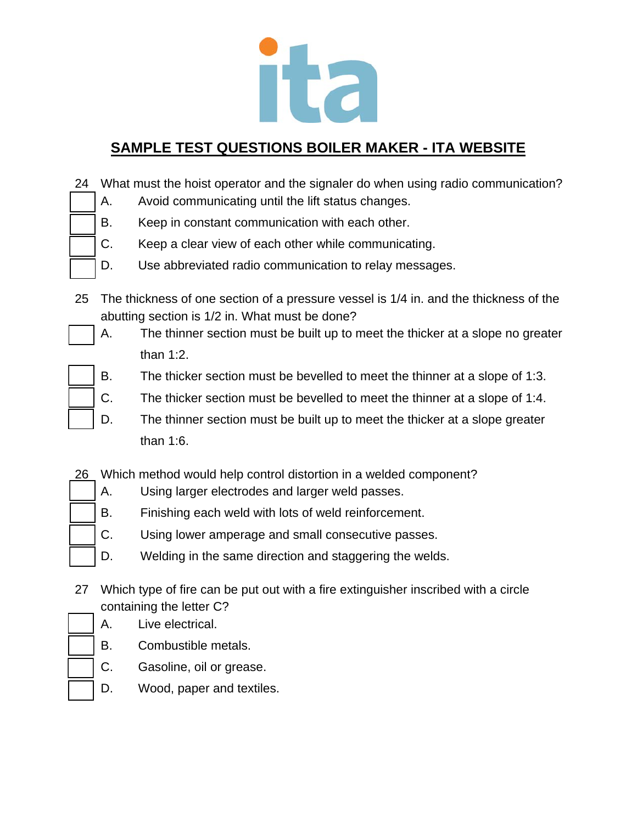

| 24 What must the hoist operator and the signaler do when using radio communication? |                                                    |
|-------------------------------------------------------------------------------------|----------------------------------------------------|
|                                                                                     | Avoid communicating until the lift status changes. |

- B. Keep in constant communication with each other.
- C. Keep a clear view of each other while communicating.
- D. Use abbreviated radio communication to relay messages.
- 25 The thickness of one section of a pressure vessel is 1/4 in. and the thickness of the abutting section is 1/2 in. What must be done?
	- A. The thinner section must be built up to meet the thicker at a slope no greater than 1:2.
	- B. The thicker section must be bevelled to meet the thinner at a slope of 1:3.
	- C. The thicker section must be bevelled to meet the thinner at a slope of 1:4.
	- D. The thinner section must be built up to meet the thicker at a slope greater than 1:6.
- 26 Which method would help control distortion in a welded component?
	- A. Using larger electrodes and larger weld passes.
	- B. Finishing each weld with lots of weld reinforcement.
	- C. Using lower amperage and small consecutive passes.
	- D. Welding in the same direction and staggering the welds.
- 27 Which type of fire can be put out with a fire extinguisher inscribed with a circle containing the letter C?
	- A. Live electrical.
	- B. Combustible metals.
	- C. Gasoline, oil or grease.
	- D. Wood, paper and textiles.